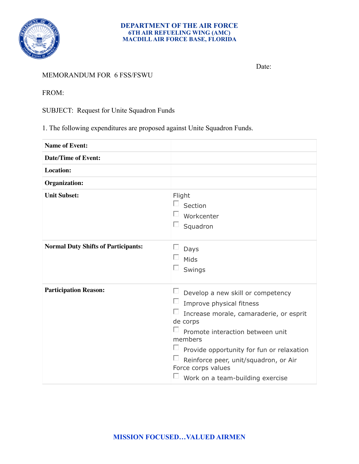

## **DEPARTMENT OF THE AIR FORCE 6TH AIR REFUELING WING (AMC) MACDILL AIR FORCE BASE, FLORIDA**

MEMORANDUM FOR 6 FSS/FSWU

Date:

FROM:

SUBJECT: Request for Unite Squadron Funds

1. The following expenditures are proposed against Unite Squadron Funds.

| <b>Name of Event:</b>                      |                                                                                                                                                                                                                                                                                                                                                                            |
|--------------------------------------------|----------------------------------------------------------------------------------------------------------------------------------------------------------------------------------------------------------------------------------------------------------------------------------------------------------------------------------------------------------------------------|
| <b>Date/Time of Event:</b>                 |                                                                                                                                                                                                                                                                                                                                                                            |
| Location:                                  |                                                                                                                                                                                                                                                                                                                                                                            |
| Organization:                              |                                                                                                                                                                                                                                                                                                                                                                            |
| <b>Unit Subset:</b>                        | Flight<br>$\Box$<br>Section<br>Workcenter<br>ப<br>Squadron                                                                                                                                                                                                                                                                                                                 |
| <b>Normal Duty Shifts of Participants:</b> | Days<br>П<br>Mids<br>$\overline{\phantom{a}}$<br>Swings                                                                                                                                                                                                                                                                                                                    |
| <b>Participation Reason:</b>               | $\Box$ Develop a new skill or competency<br>Improve physical fitness<br>□<br>Increase morale, camaraderie, or esprit<br>de corps<br>Promote interaction between unit<br>members<br>$\overline{\phantom{a}}$<br>Provide opportunity for fun or relaxation<br>$\Box$<br>Reinforce peer, unit/squadron, or Air<br>Force corps values<br>П<br>Work on a team-building exercise |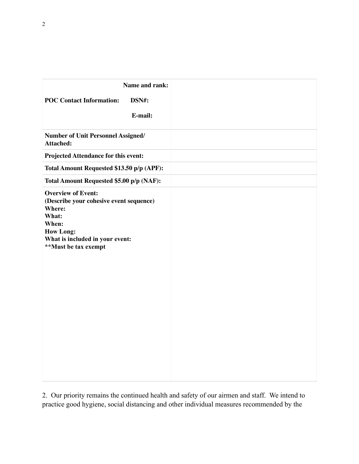| Name and rank:<br><b>POC Contact Information:</b><br>DSN#:<br>E-mail:                                                                                                           |  |
|---------------------------------------------------------------------------------------------------------------------------------------------------------------------------------|--|
| <b>Number of Unit Personnel Assigned/</b><br><b>Attached:</b>                                                                                                                   |  |
| Projected Attendance for this event:                                                                                                                                            |  |
| Total Amount Requested \$13.50 p/p (APF):                                                                                                                                       |  |
| Total Amount Requested \$5.00 p/p (NAF):                                                                                                                                        |  |
| <b>Overview of Event:</b><br>(Describe your cohesive event sequence)<br>Where:<br>What:<br>When:<br><b>How Long:</b><br>What is included in your event:<br>**Must be tax exempt |  |

2. Our priority remains the continued health and safety of our airmen and staff. We intend to practice good hygiene, social distancing and other individual measures recommended by the